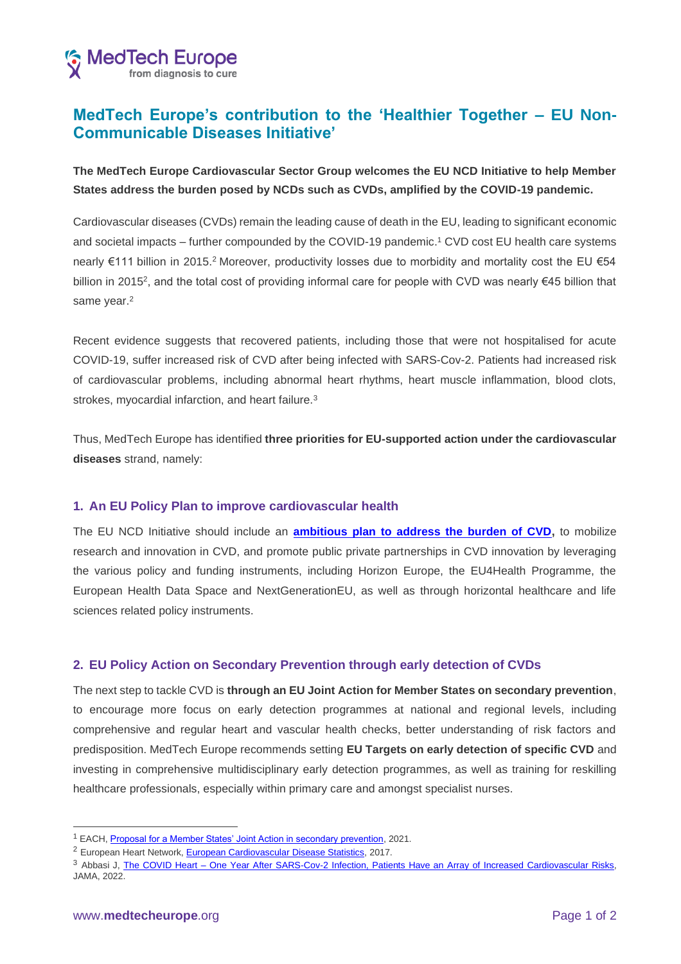

# **MedTech Europe's contribution to the 'Healthier Together – EU Non-Communicable Diseases Initiative'**

**The MedTech Europe Cardiovascular Sector Group welcomes the EU NCD Initiative to help Member States address the burden posed by NCDs such as CVDs, amplified by the COVID-19 pandemic.** 

Cardiovascular diseases (CVDs) remain the leading cause of death in the EU, leading to significant economic and societal impacts – further compounded by the COVID-19 pandemic. <sup>1</sup> CVD cost EU health care systems nearly €111 billion in 2015.<sup>2</sup> Moreover, productivity losses due to morbidity and mortality cost the EU €54 billion in 2015<sup>2</sup>, and the total cost of providing informal care for people with CVD was nearly €45 billion that same year.<sup>2</sup>

Recent evidence suggests that recovered patients, including those that were not hospitalised for acute COVID-19, suffer increased risk of CVD after being infected with SARS-Cov-2. Patients had increased risk of cardiovascular problems, including abnormal heart rhythms, heart muscle inflammation, blood clots, strokes, myocardial infarction, and heart failure.<sup>3</sup>

Thus, MedTech Europe has identified **three priorities for EU-supported action under the cardiovascular diseases** strand, namely:

## **1. An EU Policy Plan to improve cardiovascular health**

The EU NCD Initiative should include an **[ambitious plan to address the burden of CVD,](https://www.medtecheurope.org/wp-content/uploads/2021/05/an-eu-action-plan-for-better-cardiovascular-health_25_5_2021.pdf)** to mobilize research and innovation in CVD, and promote public private partnerships in CVD innovation by leveraging the various policy and funding instruments, including Horizon Europe, the EU4Health Programme, the European Health Data Space and NextGenerationEU, as well as through horizontal healthcare and life sciences related policy instruments.

## **2. EU Policy Action on Secondary Prevention through early detection of CVDs**

The next step to tackle CVD is **through an EU Joint Action for Member States on secondary prevention**, to encourage more focus on early detection programmes at national and regional levels, including comprehensive and regular heart and vascular health checks, better understanding of risk factors and predisposition. MedTech Europe recommends setting **EU Targets on early detection of specific CVD** and investing in comprehensive multidisciplinary early detection programmes, as well as training for reskilling healthcare professionals, especially within primary care and amongst specialist nurses.

<sup>&</sup>lt;sup>1</sup> EACH[, Proposal for a Member States' Joint Action in secondary prevention,](https://www.cardiovascular-alliance.eu/wp-content/uploads/2021/10/EACH-Proposal-EU4Health-_21Oct2021.pdf) 2021.

<sup>&</sup>lt;sup>2</sup> European Heart Network[, European Cardiovascular Disease Statistics,](https://ehnheart.org/cvd-statistics/cvd-statistics-2017.html) 2017.

<sup>3</sup> Abbasi J, The COVID Heart - [One Year After SARS-Cov-2 Infection, Patients Have an Array of Increased](https://jamanetwork.com/journals/jama/fullarticle/2789793) Cardiovascular Risks, JAMA, 2022.